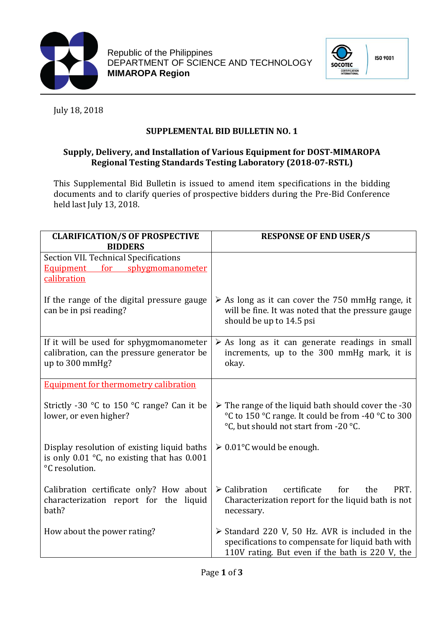

Republic of the Philippines DEPARTMENT OF SCIENCE AND TECHNOLOGY **MIMAROPA Region** 



July 18, 2018

## **SUPPLEMENTAL BID BULLETIN NO. 1**

## **Supply, Delivery, and Installation of Various Equipment for DOST-MIMAROPA Regional Testing Standards Testing Laboratory (2018-07-RSTL)**

This Supplemental Bid Bulletin is issued to amend item specifications in the bidding documents and to clarify queries of prospective bidders during the Pre-Bid Conference held last July 13, 2018.

| <b>CLARIFICATION/S OF PROSPECTIVE</b><br><b>BIDDERS</b>                                                          | <b>RESPONSE OF END USER/S</b>                                                                                                                                          |
|------------------------------------------------------------------------------------------------------------------|------------------------------------------------------------------------------------------------------------------------------------------------------------------------|
| <b>Section VII. Technical Specifications</b><br>Equipment for sphygmomanometer<br>calibration                    |                                                                                                                                                                        |
| If the range of the digital pressure gauge<br>can be in psi reading?                                             | $\triangleright$ As long as it can cover the 750 mmHg range, it<br>will be fine. It was noted that the pressure gauge<br>should be up to 14.5 psi                      |
| If it will be used for sphygmomanometer<br>calibration, can the pressure generator be<br>up to 300 mmHg?         | $\triangleright$ As long as it can generate readings in small<br>increments, up to the 300 mmHg mark, it is<br>okay.                                                   |
| <b>Equipment for thermometry calibration</b>                                                                     |                                                                                                                                                                        |
| Strictly -30 $\degree$ C to 150 $\degree$ C range? Can it be<br>lower, or even higher?                           | $\triangleright$ The range of the liquid bath should cover the -30<br>°C to 150 °C range. It could be from -40 °C to 300<br>°C, but should not start from -20 °C.      |
| Display resolution of existing liquid baths<br>is only $0.01$ °C, no existing that has $0.001$<br>°C resolution. | $\geq 0.01^{\circ}$ C would be enough.                                                                                                                                 |
| Calibration certificate only? How about<br>characterization report for the liquid<br>bath?                       | $\triangleright$ Calibration<br>certificate<br>for<br>the<br>PRT.<br>Characterization report for the liquid bath is not<br>necessary.                                  |
| How about the power rating?                                                                                      | $\triangleright$ Standard 220 V, 50 Hz. AVR is included in the<br>specifications to compensate for liquid bath with<br>110V rating. But even if the bath is 220 V, the |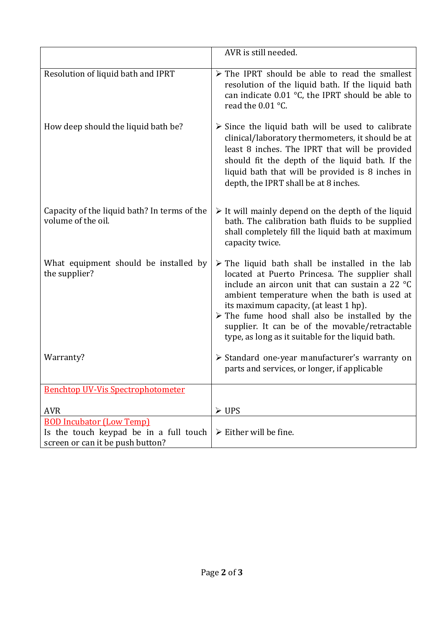|                                                                                                               | AVR is still needed.                                                                                                                                                                                                                                                                                                                                                                                                                  |
|---------------------------------------------------------------------------------------------------------------|---------------------------------------------------------------------------------------------------------------------------------------------------------------------------------------------------------------------------------------------------------------------------------------------------------------------------------------------------------------------------------------------------------------------------------------|
| Resolution of liquid bath and IPRT                                                                            | $\triangleright$ The IPRT should be able to read the smallest<br>resolution of the liquid bath. If the liquid bath<br>can indicate $0.01$ °C, the IPRT should be able to<br>read the 0.01 °C.                                                                                                                                                                                                                                         |
| How deep should the liquid bath be?                                                                           | $\triangleright$ Since the liquid bath will be used to calibrate<br>clinical/laboratory thermometers, it should be at<br>least 8 inches. The IPRT that will be provided<br>should fit the depth of the liquid bath. If the<br>liquid bath that will be provided is 8 inches in<br>depth, the IPRT shall be at 8 inches.                                                                                                               |
| Capacity of the liquid bath? In terms of the<br>volume of the oil.                                            | $\triangleright$ It will mainly depend on the depth of the liquid<br>bath. The calibration bath fluids to be supplied<br>shall completely fill the liquid bath at maximum<br>capacity twice.                                                                                                                                                                                                                                          |
| What equipment should be installed by<br>the supplier?                                                        | $\triangleright$ The liquid bath shall be installed in the lab<br>located at Puerto Princesa. The supplier shall<br>include an aircon unit that can sustain a 22 °C<br>ambient temperature when the bath is used at<br>its maximum capacity, (at least 1 hp).<br>$\triangleright$ The fume hood shall also be installed by the<br>supplier. It can be of the movable/retractable<br>type, as long as it suitable for the liquid bath. |
| Warranty?                                                                                                     | > Standard one-year manufacturer's warranty on<br>parts and services, or longer, if applicable                                                                                                                                                                                                                                                                                                                                        |
| <b>Benchtop UV-Vis Spectrophotometer</b>                                                                      |                                                                                                                                                                                                                                                                                                                                                                                                                                       |
| <b>AVR</b>                                                                                                    | $\triangleright$ UPS                                                                                                                                                                                                                                                                                                                                                                                                                  |
| <b>BOD Incubator (Low Temp)</b><br>Is the touch keypad be in a full touch<br>screen or can it be push button? | $\triangleright$ Either will be fine.                                                                                                                                                                                                                                                                                                                                                                                                 |